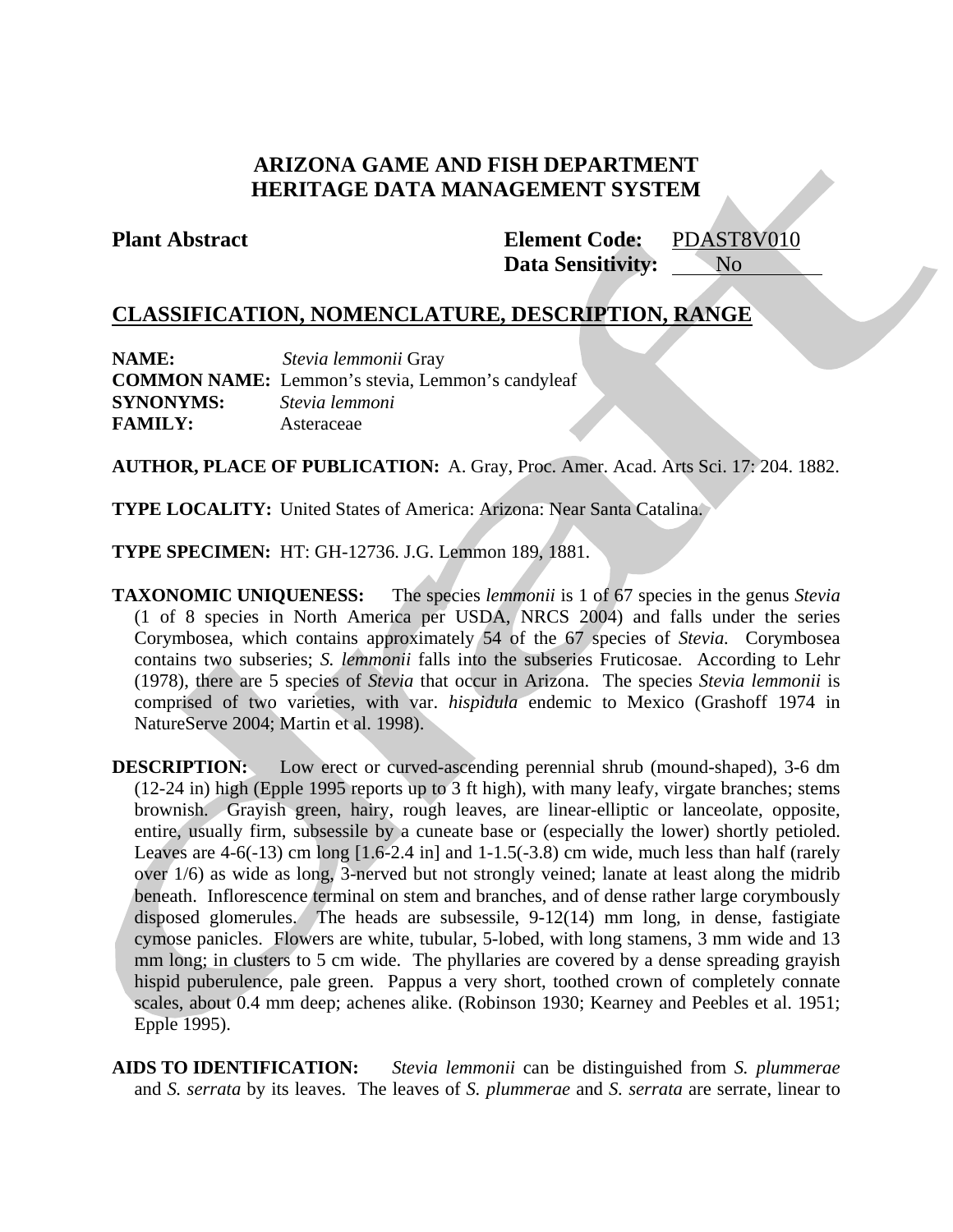# **ARIZONA GAME AND FISH DEPARTMENT HERITAGE DATA MANAGEMENT SYSTEM**

**Plant Abstract Element Code:** PDAST8V010 **Data Sensitivity:** No

# **CLASSIFICATION, NOMENCLATURE, DESCRIPTION, RANGE**

| <b>NAME:</b>     | Stevia lemmonii Gray                                    |
|------------------|---------------------------------------------------------|
|                  | <b>COMMON NAME:</b> Lemmon's stevia, Lemmon's candyleaf |
| <b>SYNONYMS:</b> | Stevia lemmoni                                          |
| <b>FAMILY:</b>   | Asteraceae                                              |

**AUTHOR, PLACE OF PUBLICATION:** A. Gray, Proc. Amer. Acad. Arts Sci. 17: 204. 1882.

**TYPE LOCALITY:** United States of America: Arizona: Near Santa Catalina.

**TYPE SPECIMEN:** HT: GH-12736. J.G. Lemmon 189, 1881.

**TAXONOMIC UNIQUENESS:** The species *lemmonii* is 1 of 67 species in the genus *Stevia* (1 of 8 species in North America per USDA, NRCS 2004) and falls under the series Corymbosea, which contains approximately 54 of the 67 species of *Stevia.* Corymbosea contains two subseries; *S. lemmonii* falls into the subseries Fruticosae. According to Lehr (1978), there are 5 species of *Stevia* that occur in Arizona. The species *Stevia lemmonii* is comprised of two varieties, with var. *hispidula* endemic to Mexico (Grashoff 1974 in NatureServe 2004; Martin et al. 1998).

**DESCRIPTION:** Low erect or curved-ascending perennial shrub (mound-shaped), 3-6 dm (12-24 in) high (Epple 1995 reports up to 3 ft high), with many leafy, virgate branches; stems brownish. Grayish green, hairy, rough leaves, are linear-elliptic or lanceolate, opposite, entire, usually firm, subsessile by a cuneate base or (especially the lower) shortly petioled. Leaves are  $4-6(-13)$  cm long  $[1.6-2.4 \text{ in}]$  and  $1-1.5(-3.8)$  cm wide, much less than half (rarely over 1/6) as wide as long, 3-nerved but not strongly veined; lanate at least along the midrib beneath. Inflorescence terminal on stem and branches, and of dense rather large corymbously disposed glomerules. The heads are subsessile, 9-12(14) mm long, in dense, fastigiate cymose panicles. Flowers are white, tubular, 5-lobed, with long stamens, 3 mm wide and 13 mm long; in clusters to 5 cm wide. The phyllaries are covered by a dense spreading grayish hispid puberulence, pale green. Pappus a very short, toothed crown of completely connate scales, about 0.4 mm deep; achenes alike. (Robinson 1930; Kearney and Peebles et al. 1951; Epple 1995).

**AIDS TO IDENTIFICATION:** *Stevia lemmonii* can be distinguished from *S. plummerae*  and *S. serrata* by its leaves. The leaves of *S. plummerae* and *S. serrata* are serrate, linear to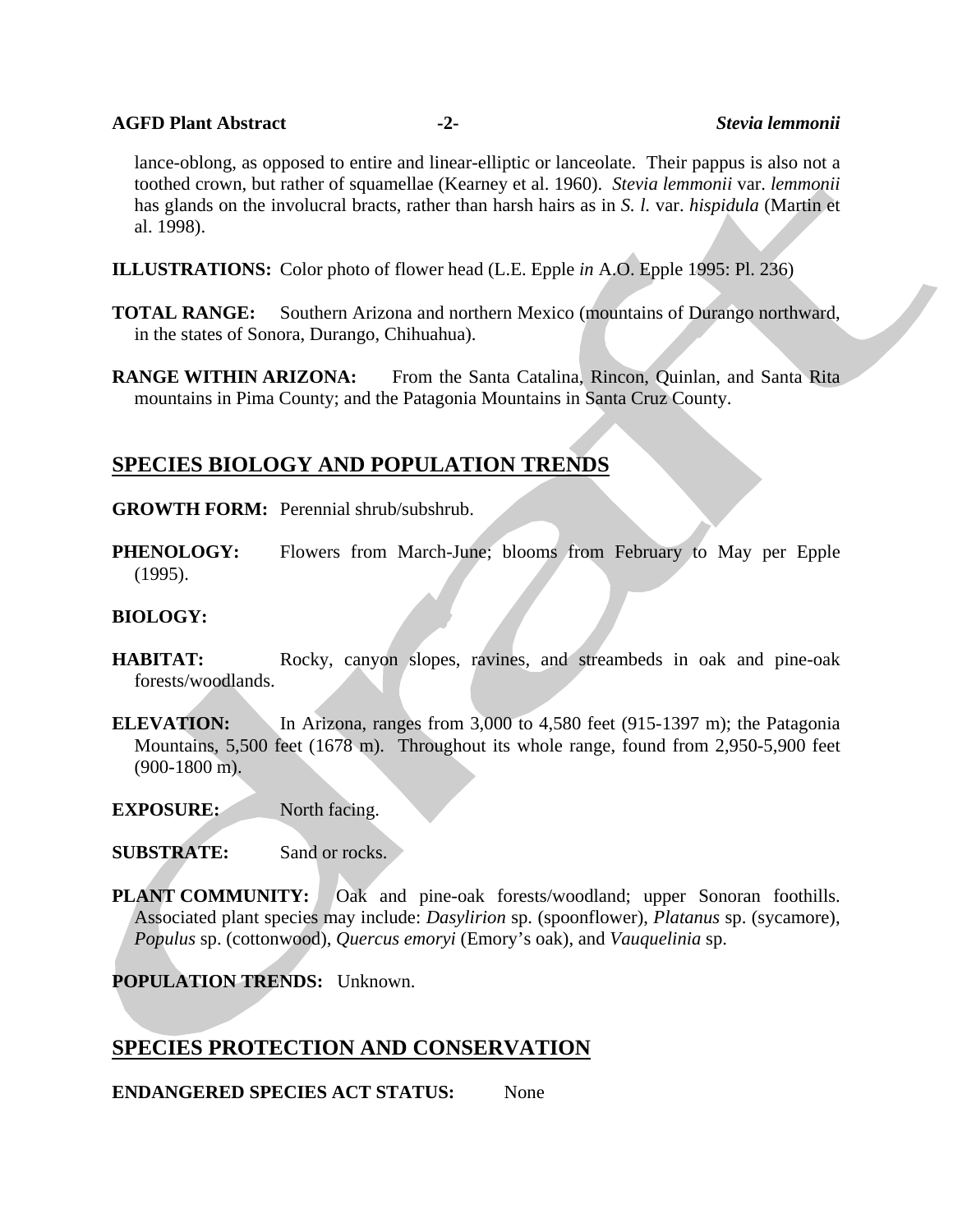#### **AGFD Plant Abstract -2-** *Stevia lemmonii*

lance-oblong, as opposed to entire and linear-elliptic or lanceolate. Their pappus is also not a toothed crown, but rather of squamellae (Kearney et al. 1960). *Stevia lemmonii* var. *lemmonii* has glands on the involucral bracts, rather than harsh hairs as in *S. l.* var. *hispidula* (Martin et al. 1998).

- **ILLUSTRATIONS:** Color photo of flower head (L.E. Epple *in* A.O. Epple 1995: Pl. 236)
- **TOTAL RANGE:** Southern Arizona and northern Mexico (mountains of Durango northward, in the states of Sonora, Durango, Chihuahua).
- **RANGE WITHIN ARIZONA:** From the Santa Catalina, Rincon, Quinlan, and Santa Rita mountains in Pima County; and the Patagonia Mountains in Santa Cruz County.

# **SPECIES BIOLOGY AND POPULATION TRENDS**

#### **GROWTH FORM:** Perennial shrub/subshrub.

**PHENOLOGY:** Flowers from March-June; blooms from February to May per Epple (1995).

## **BIOLOGY:**

- **HABITAT:** Rocky, canyon slopes, ravines, and streambeds in oak and pine-oak forests/woodlands.
- **ELEVATION:** In Arizona, ranges from 3,000 to 4,580 feet (915-1397 m); the Patagonia Mountains, 5,500 feet (1678 m). Throughout its whole range, found from 2,950-5,900 feet (900-1800 m).
- **EXPOSURE:** North facing.
- **SUBSTRATE:** Sand or rocks.
- **PLANT COMMUNITY:** Oak and pine-oak forests/woodland; upper Sonoran foothills. Associated plant species may include: *Dasylirion* sp. (spoonflower), *Platanus* sp. (sycamore), *Populus* sp. (cottonwood), *Quercus emoryi* (Emory's oak), and *Vauquelinia* sp.

**POPULATION TRENDS:** Unknown.

## **SPECIES PROTECTION AND CONSERVATION**

**ENDANGERED SPECIES ACT STATUS:** None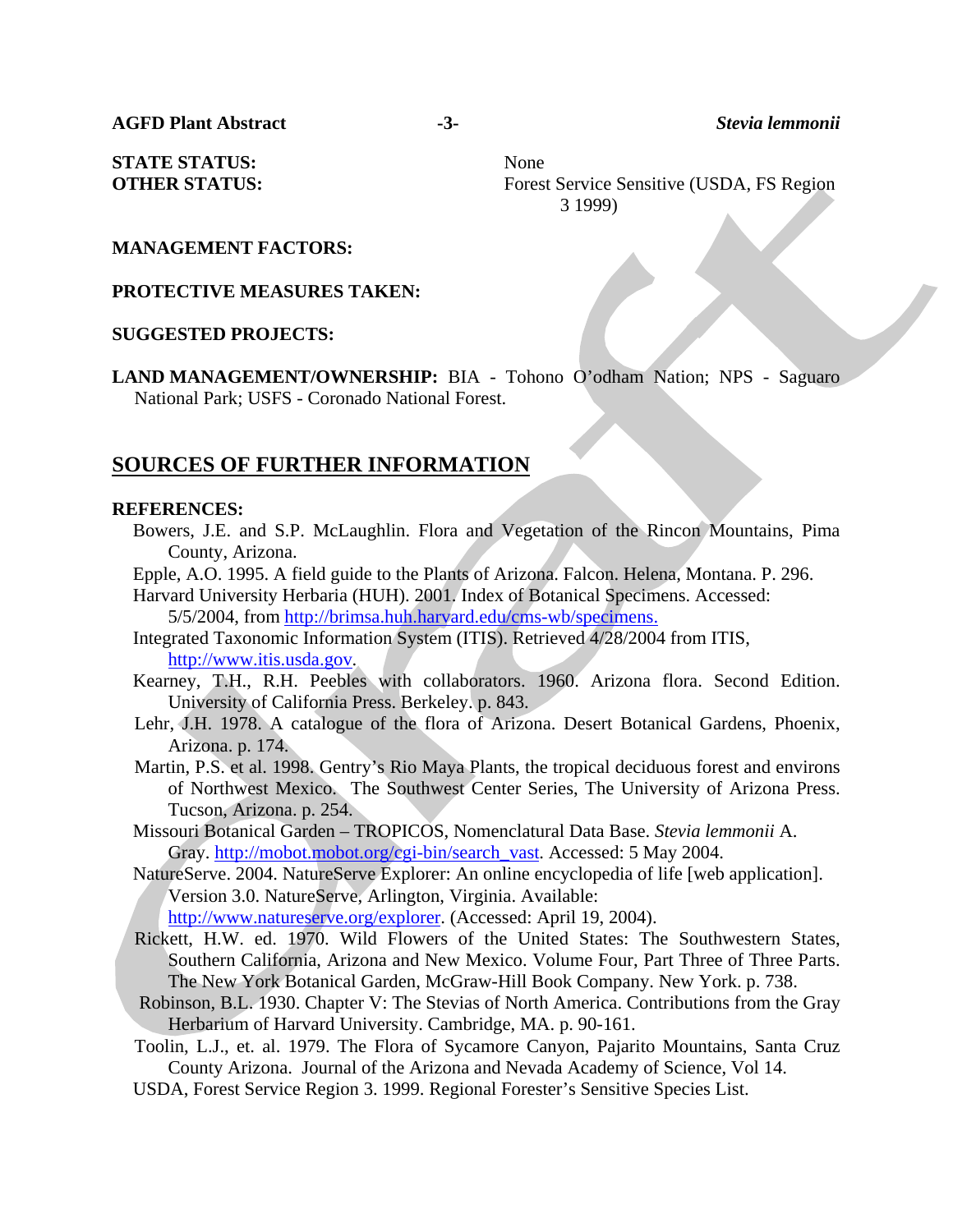**AGFD Plant Abstract -3-** *Stevia lemmonii* 

**STATE STATUS:** None

**OTHER STATUS:** Forest Service Sensitive (USDA, FS Region 3 1999)

### **MANAGEMENT FACTORS:**

**PROTECTIVE MEASURES TAKEN:**

### **SUGGESTED PROJECTS:**

**LAND MANAGEMENT/OWNERSHIP:** BIA - Tohono O'odham Nation; NPS - Saguaro National Park; USFS - Coronado National Forest.

## **SOURCES OF FURTHER INFORMATION**

#### **REFERENCES:**

- Bowers, J.E. and S.P. McLaughlin. Flora and Vegetation of the Rincon Mountains, Pima County, Arizona.
- Epple, A.O. 1995. A field guide to the Plants of Arizona. Falcon. Helena, Montana. P. 296.

Harvard University Herbaria (HUH). 2001. Index of Botanical Specimens. Accessed: 5/5/2004, from http://brimsa.huh.harvard.edu/cms-wb/specimens.

- Integrated Taxonomic Information System (ITIS). Retrieved 4/28/2004 from ITIS, http://www.itis.usda.gov.
- Kearney, T.H., R.H. Peebles with collaborators. 1960. Arizona flora. Second Edition. University of California Press. Berkeley. p. 843.
- Lehr, J.H. 1978. A catalogue of the flora of Arizona. Desert Botanical Gardens, Phoenix, Arizona. p. 174.
- Martin, P.S. et al. 1998. Gentry's Rio Maya Plants, the tropical deciduous forest and environs of Northwest Mexico. The Southwest Center Series, The University of Arizona Press. Tucson, Arizona. p. 254.
- Missouri Botanical Garden TROPICOS, Nomenclatural Data Base. *Stevia lemmonii* A. Gray. http://mobot.mobot.org/cgi-bin/search\_vast. Accessed: 5 May 2004.
- NatureServe. 2004. NatureServe Explorer: An online encyclopedia of life [web application]. Version 3.0. NatureServe, Arlington, Virginia. Available: http://www.natureserve.org/explorer. (Accessed: April 19, 2004).
- Rickett, H.W. ed. 1970. Wild Flowers of the United States: The Southwestern States, Southern California, Arizona and New Mexico. Volume Four, Part Three of Three Parts. The New York Botanical Garden, McGraw-Hill Book Company. New York. p. 738.
- Robinson, B.L. 1930. Chapter V: The Stevias of North America. Contributions from the Gray Herbarium of Harvard University. Cambridge, MA. p. 90-161.
- Toolin, L.J., et. al. 1979. The Flora of Sycamore Canyon, Pajarito Mountains, Santa Cruz County Arizona. Journal of the Arizona and Nevada Academy of Science, Vol 14.
- USDA, Forest Service Region 3. 1999. Regional Forester's Sensitive Species List.